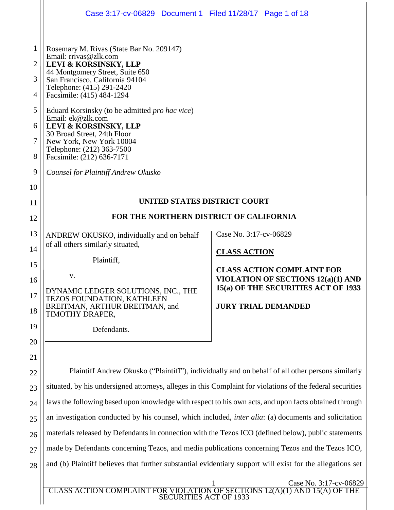|                                                                           | Case 3:17-cv-06829 Document 1 Filed 11/28/17 Page 1 of 18                                                                                                                                                                                                                                                                                                                                                                                                                                                                   |  |  |  |  |
|---------------------------------------------------------------------------|-----------------------------------------------------------------------------------------------------------------------------------------------------------------------------------------------------------------------------------------------------------------------------------------------------------------------------------------------------------------------------------------------------------------------------------------------------------------------------------------------------------------------------|--|--|--|--|
| 1<br>$\overline{2}$<br>3<br>$\overline{4}$<br>5<br>6<br>7<br>8<br>9<br>10 | Rosemary M. Rivas (State Bar No. 209147)<br>Email: rrivas@zlk.com<br><b>LEVI &amp; KORSINSKY, LLP</b><br>44 Montgomery Street, Suite 650<br>San Francisco, California 94104<br>Telephone: (415) 291-2420<br>Facsimile: (415) 484-1294<br>Eduard Korsinsky (to be admitted <i>pro hac vice</i> )<br>Email: ek@zlk.com<br><b>LEVI &amp; KORSINSKY, LLP</b><br>30 Broad Street, 24th Floor<br>New York, New York 10004<br>Telephone: (212) 363-7500<br>Facsimile: (212) 636-7171<br><b>Counsel for Plaintiff Andrew Okusko</b> |  |  |  |  |
| 11                                                                        | UNITED STATES DISTRICT COURT                                                                                                                                                                                                                                                                                                                                                                                                                                                                                                |  |  |  |  |
| 12                                                                        | FOR THE NORTHERN DISTRICT OF CALIFORNIA                                                                                                                                                                                                                                                                                                                                                                                                                                                                                     |  |  |  |  |
| 13                                                                        | Case No. 3:17-cv-06829<br>ANDREW OKUSKO, individually and on behalf                                                                                                                                                                                                                                                                                                                                                                                                                                                         |  |  |  |  |
| 14                                                                        | of all others similarly situated,<br><b>CLASS ACTION</b>                                                                                                                                                                                                                                                                                                                                                                                                                                                                    |  |  |  |  |
| 15                                                                        | Plaintiff,<br><b>CLASS ACTION COMPLAINT FOR</b>                                                                                                                                                                                                                                                                                                                                                                                                                                                                             |  |  |  |  |
| 16                                                                        | V.<br>VIOLATION OF SECTIONS 12(a)(1) AND                                                                                                                                                                                                                                                                                                                                                                                                                                                                                    |  |  |  |  |
| 17<br>18                                                                  | 15(a) OF THE SECURITIES ACT OF 1933<br>DYNAMIC LEDGER SOLUTIONS, INC., THE<br>TEZOS FOUNDATION, KATHLEEN<br><b>JURY TRIAL DEMANDED</b><br>BREITMAN, ARTHUR BREITMAN, and<br>TIMOTHY DRAPER,                                                                                                                                                                                                                                                                                                                                 |  |  |  |  |
| 19                                                                        | Defendants.                                                                                                                                                                                                                                                                                                                                                                                                                                                                                                                 |  |  |  |  |
| 20                                                                        |                                                                                                                                                                                                                                                                                                                                                                                                                                                                                                                             |  |  |  |  |
| 21                                                                        |                                                                                                                                                                                                                                                                                                                                                                                                                                                                                                                             |  |  |  |  |
| 22                                                                        | Plaintiff Andrew Okusko ("Plaintiff"), individually and on behalf of all other persons similarly                                                                                                                                                                                                                                                                                                                                                                                                                            |  |  |  |  |
| 23                                                                        | situated, by his undersigned attorneys, alleges in this Complaint for violations of the federal securities                                                                                                                                                                                                                                                                                                                                                                                                                  |  |  |  |  |
| 24                                                                        | laws the following based upon knowledge with respect to his own acts, and upon facts obtained through                                                                                                                                                                                                                                                                                                                                                                                                                       |  |  |  |  |
| 25                                                                        | an investigation conducted by his counsel, which included, <i>inter alia</i> : (a) documents and solicitation                                                                                                                                                                                                                                                                                                                                                                                                               |  |  |  |  |
| 26                                                                        | materials released by Defendants in connection with the Tezos ICO (defined below), public statements                                                                                                                                                                                                                                                                                                                                                                                                                        |  |  |  |  |
| 27                                                                        | made by Defendants concerning Tezos, and media publications concerning Tezos and the Tezos ICO,                                                                                                                                                                                                                                                                                                                                                                                                                             |  |  |  |  |
| 28                                                                        | and (b) Plaintiff believes that further substantial evidentiary support will exist for the allegations set                                                                                                                                                                                                                                                                                                                                                                                                                  |  |  |  |  |
|                                                                           | Case No. 3:17-cv-06829<br>CLASS ACTION COMPLAINT FOR VIOLATION OF SECTIONS 12(A)(1) AND 15(A) OF THE<br><b>SECURITIES ACT OF 1933</b>                                                                                                                                                                                                                                                                                                                                                                                       |  |  |  |  |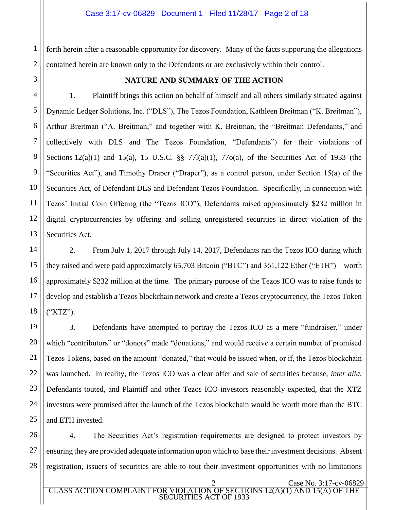1 2 forth herein after a reasonable opportunity for discovery. Many of the facts supporting the allegations contained herein are known only to the Defendants or are exclusively within their control.

3 4

5

6

7

8

9

10

11

12

13

#### **NATURE AND SUMMARY OF THE ACTION**

1. Plaintiff brings this action on behalf of himself and all others similarly situated against Dynamic Ledger Solutions, Inc. ("DLS"), The Tezos Foundation, Kathleen Breitman ("K. Breitman"), Arthur Breitman ("A. Breitman," and together with K. Breitman, the "Breitman Defendants," and collectively with DLS and The Tezos Foundation, "Defendants") for their violations of Sections 12(a)(1) and 15(a), 15 U.S.C. §§ 77l(a)(1), 77o(a), of the Securities Act of 1933 (the "Securities Act"), and Timothy Draper ("Draper"), as a control person, under Section 15(a) of the Securities Act, of Defendant DLS and Defendant Tezos Foundation. Specifically, in connection with Tezos' Initial Coin Offering (the "Tezos ICO"), Defendants raised approximately \$232 million in digital cryptocurrencies by offering and selling unregistered securities in direct violation of the Securities Act.

14 15 16 17 18 2. From July 1, 2017 through July 14, 2017, Defendants ran the Tezos ICO during which they raised and were paid approximately 65,703 Bitcoin ("BTC") and 361,122 Ether ("ETH")—worth approximately \$232 million at the time. The primary purpose of the Tezos ICO was to raise funds to develop and establish a Tezos blockchain network and create a Tezos cryptocurrency, the Tezos Token ("XTZ").

19 20 21 22 23 24 25 3. Defendants have attempted to portray the Tezos ICO as a mere "fundraiser," under which "contributors" or "donors" made "donations," and would receive a certain number of promised Tezos Tokens, based on the amount "donated," that would be issued when, or if, the Tezos blockchain was launched. In reality, the Tezos ICO was a clear offer and sale of securities because, *inter alia*, Defendants touted, and Plaintiff and other Tezos ICO investors reasonably expected, that the XTZ investors were promised after the launch of the Tezos blockchain would be worth more than the BTC and ETH invested.

26 27 28 4. The Securities Act's registration requirements are designed to protect investors by ensuring they are provided adequate information upon which to base their investment decisions. Absent registration, issuers of securities are able to tout their investment opportunities with no limitations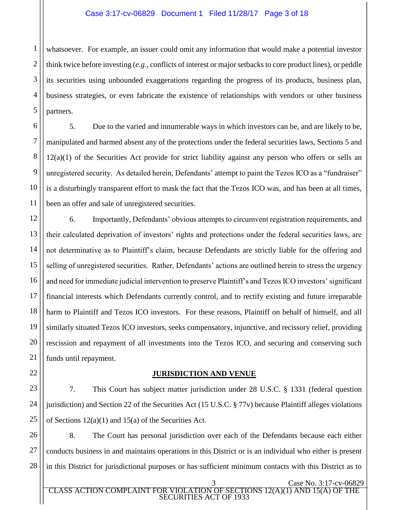1

6

7

8

9

10

11

21

22

2 3 4 5 whatsoever. For example, an issuer could omit any information that would make a potential investor think twice before investing (*e.g.*, conflicts of interest or major setbacks to core product lines), or peddle its securities using unbounded exaggerations regarding the progress of its products, business plan, business strategies, or even fabricate the existence of relationships with vendors or other business partners.

5. Due to the varied and innumerable ways in which investors can be, and are likely to be, manipulated and harmed absent any of the protections under the federal securities laws, Sections 5 and 12(a)(1) of the Securities Act provide for strict liability against any person who offers or sells an unregistered security. As detailed herein, Defendants' attempt to paint the Tezos ICO as a "fundraiser" is a disturbingly transparent effort to mask the fact that the Tezos ICO was, and has been at all times, been an offer and sale of unregistered securities.

12 13 14 15 16 17 18 19 20 6. Importantly, Defendants' obvious attempts to circumvent registration requirements, and their calculated deprivation of investors' rights and protections under the federal securities laws, are not determinative as to Plaintiff's claim, because Defendants are strictly liable for the offering and selling of unregistered securities. Rather, Defendants' actions are outlined herein to stress the urgency and need for immediate judicial intervention to preserve Plaintiff's and Tezos ICO investors' significant financial interests which Defendants currently control, and to rectify existing and future irreparable harm to Plaintiff and Tezos ICO investors. For these reasons, Plaintiff on behalf of himself, and all similarly situated Tezos ICO investors, seeks compensatory, injunctive, and recissory relief, providing rescission and repayment of all investments into the Tezos ICO, and securing and conserving such funds until repayment.

#### **JURISDICTION AND VENUE**

23 24 25 7. This Court has subject matter jurisdiction under 28 U.S.C. § 1331 (federal question jurisdiction) and Section 22 of the Securities Act (15 U.S.C. § 77v) because Plaintiff alleges violations of Sections 12(a)(1) and 15(a) of the Securities Act.

26 27 28 8. The Court has personal jurisdiction over each of the Defendants because each either conducts business in and maintains operations in this District or is an individual who either is present in this District for jurisdictional purposes or has sufficient minimum contacts with this District as to

<sup>3</sup> Case No. 3:17-cv-06829 CLASS ACTION COMPLAINT FOR VIOLATION OF SECTIONS 12(A)(1) AND 15(A) OF THE SECURITIES ACT OF 1933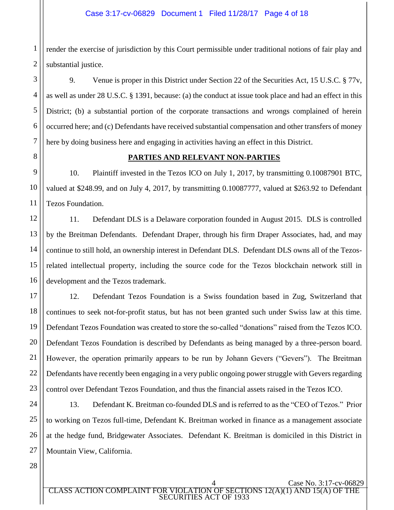1 2 render the exercise of jurisdiction by this Court permissible under traditional notions of fair play and substantial justice.

9. Venue is proper in this District under Section 22 of the Securities Act, 15 U.S.C. § 77v, as well as under 28 U.S.C. § 1391, because: (a) the conduct at issue took place and had an effect in this District; (b) a substantial portion of the corporate transactions and wrongs complained of herein occurred here; and (c) Defendants have received substantial compensation and other transfers of money here by doing business here and engaging in activities having an effect in this District.

### **PARTIES AND RELEVANT NON-PARTIES**

10. Plaintiff invested in the Tezos ICO on July 1, 2017, by transmitting 0.10087901 BTC, valued at \$248.99, and on July 4, 2017, by transmitting 0.10087777, valued at \$263.92 to Defendant Tezos Foundation.

12 13 14 15 16 11. Defendant DLS is a Delaware corporation founded in August 2015. DLS is controlled by the Breitman Defendants. Defendant Draper, through his firm Draper Associates, had, and may continue to still hold, an ownership interest in Defendant DLS. Defendant DLS owns all of the Tezosrelated intellectual property, including the source code for the Tezos blockchain network still in development and the Tezos trademark.

17 18 19 20 21 22 23 12. Defendant Tezos Foundation is a Swiss foundation based in Zug, Switzerland that continues to seek not-for-profit status, but has not been granted such under Swiss law at this time. Defendant Tezos Foundation was created to store the so-called "donations" raised from the Tezos ICO. Defendant Tezos Foundation is described by Defendants as being managed by a three-person board. However, the operation primarily appears to be run by Johann Gevers ("Gevers"). The Breitman Defendants have recently been engaging in a very public ongoing power struggle with Gevers regarding control over Defendant Tezos Foundation, and thus the financial assets raised in the Tezos ICO.

24 25 26 27 13. Defendant K. Breitman co-founded DLS and is referred to as the "CEO of Tezos." Prior to working on Tezos full-time, Defendant K. Breitman worked in finance as a management associate at the hedge fund, Bridgewater Associates. Defendant K. Breitman is domiciled in this District in Mountain View, California.

3

4

5

6

7

8

9

10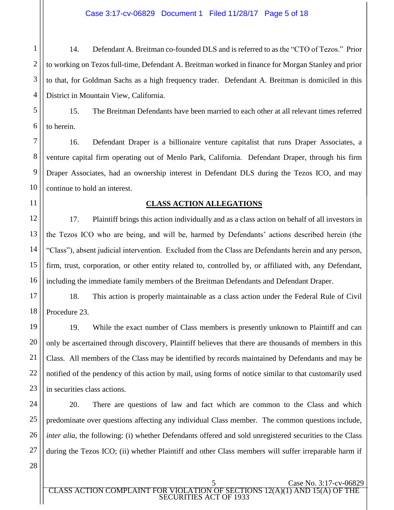### Case 3:17-cv-06829 Document 1 Filed 11/28/17 Page 5 of 18

2 3 4 14. Defendant A. Breitman co-founded DLS and is referred to as the "CTO of Tezos." Prior to working on Tezos full-time, Defendant A. Breitman worked in finance for Morgan Stanley and prior to that, for Goldman Sachs as a high frequency trader. Defendant A. Breitman is domiciled in this District in Mountain View, California.

5 6 15. The Breitman Defendants have been married to each other at all relevant times referred to herein.

16. Defendant Draper is a billionaire venture capitalist that runs Draper Associates, a venture capital firm operating out of Menlo Park, California. Defendant Draper, through his firm Draper Associates, had an ownership interest in Defendant DLS during the Tezos ICO, and may continue to hold an interest.

#### **CLASS ACTION ALLEGATIONS**

16 17. Plaintiff brings this action individually and as a class action on behalf of all investors in the Tezos ICO who are being, and will be, harmed by Defendants' actions described herein (the "Class"), absent judicial intervention. Excluded from the Class are Defendants herein and any person, firm, trust, corporation, or other entity related to, controlled by, or affiliated with, any Defendant, including the immediate family members of the Breitman Defendants and Defendant Draper.

17 18 18. This action is properly maintainable as a class action under the Federal Rule of Civil Procedure 23.

19. While the exact number of Class members is presently unknown to Plaintiff and can only be ascertained through discovery, Plaintiff believes that there are thousands of members in this Class. All members of the Class may be identified by records maintained by Defendants and may be notified of the pendency of this action by mail, using forms of notice similar to that customarily used in securities class actions.

20. There are questions of law and fact which are common to the Class and which predominate over questions affecting any individual Class member. The common questions include, *inter alia*, the following: (i) whether Defendants offered and sold unregistered securities to the Class during the Tezos ICO; (ii) whether Plaintiff and other Class members will suffer irreparable harm if

1

7

8

9

10

11

12

13

14

15

19

20

21

22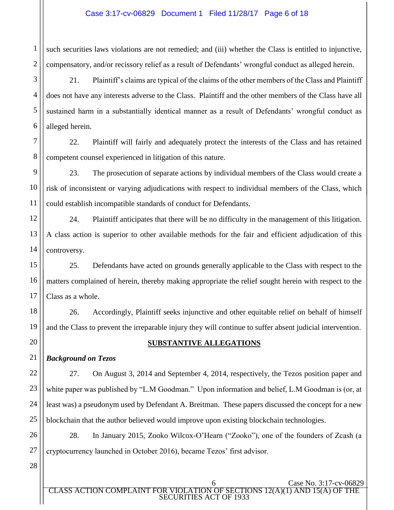1 2 such securities laws violations are not remedied; and (iii) whether the Class is entitled to injunctive, compensatory, and/or recissory relief as a result of Defendants' wrongful conduct as alleged herein.

21. Plaintiff's claims are typical of the claims of the other members of the Class and Plaintiff does not have any interests adverse to the Class. Plaintiff and the other members of the Class have all sustained harm in a substantially identical manner as a result of Defendants' wrongful conduct as alleged herein.

22. Plaintiff will fairly and adequately protect the interests of the Class and has retained competent counsel experienced in litigation of this nature.

23. The prosecution of separate actions by individual members of the Class would create a risk of inconsistent or varying adjudications with respect to individual members of the Class, which could establish incompatible standards of conduct for Defendants.

12 13 14 24. Plaintiff anticipates that there will be no difficulty in the management of this litigation. A class action is superior to other available methods for the fair and efficient adjudication of this controversy.

15 16 17 25. Defendants have acted on grounds generally applicable to the Class with respect to the matters complained of herein, thereby making appropriate the relief sought herein with respect to the Class as a whole.

26. Accordingly, Plaintiff seeks injunctive and other equitable relief on behalf of himself and the Class to prevent the irreparable injury they will continue to suffer absent judicial intervention.

21 *Background on Tezos*

## **SUBSTANTIVE ALLEGATIONS**

27. On August 3, 2014 and September 4, 2014, respectively, the Tezos position paper and white paper was published by "L.M Goodman." Upon information and belief, L.M Goodman is (or, at least was) a pseudonym used by Defendant A. Breitman. These papers discussed the concept for a new blockchain that the author believed would improve upon existing blockchain technologies.

26 27 28. In January 2015, Zooko Wilcox-O'Hearn ("Zooko"), one of the founders of Zcash (a cryptocurrency launched in October 2016), became Tezos' first advisor.

28

3

4

5

6

7

8

9

10

11

18

19

20

22

23

24

25

6 Case No. 3:17-cv-06829 CLASS ACTION COMPLAINT FOR VIOLATION OF SECTIONS 12(A)(1) AND 15(A) OF THE SECURITIES ACT OF 1933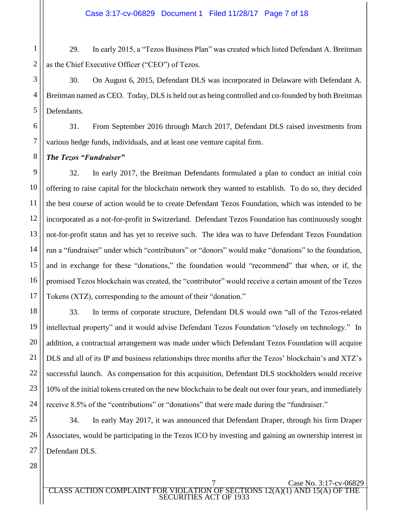1 2 29. In early 2015, a "Tezos Business Plan" was created which listed Defendant A. Breitman as the Chief Executive Officer ("CEO") of Tezos.

30. On August 6, 2015, Defendant DLS was incorporated in Delaware with Defendant A. Breitman named as CEO. Today, DLS is held out as being controlled and co-founded by both Breitman Defendants.

6 7 31. From September 2016 through March 2017, Defendant DLS raised investments from various hedge funds, individuals, and at least one venture capital firm.

8 *The Tezos "Fundraiser"*

3

4

5

9 10 11 12 13 14 15 16 17 32. In early 2017, the Breitman Defendants formulated a plan to conduct an initial coin offering to raise capital for the blockchain network they wanted to establish. To do so, they decided the best course of action would be to create Defendant Tezos Foundation, which was intended to be incorporated as a not-for-profit in Switzerland. Defendant Tezos Foundation has continuously sought not-for-profit status and has yet to receive such. The idea was to have Defendant Tezos Foundation run a "fundraiser" under which "contributors" or "donors" would make "donations" to the foundation, and in exchange for these "donations," the foundation would "recommend" that when, or if, the promised Tezos blockchain was created, the "contributor" would receive a certain amount of the Tezos Tokens (XTZ), corresponding to the amount of their "donation."

33. In terms of corporate structure, Defendant DLS would own "all of the Tezos-related intellectual property" and it would advise Defendant Tezos Foundation "closely on technology." In addition, a contractual arrangement was made under which Defendant Tezos Foundation will acquire DLS and all of its IP and business relationships three months after the Tezos' blockchain's and XTZ's successful launch. As compensation for this acquisition, Defendant DLS stockholders would receive 10% of the initial tokens created on the new blockchain to be dealt out over four years, and immediately receive 8.5% of the "contributions" or "donations" that were made during the "fundraiser."

25 26 27 34. In early May 2017, it was announced that Defendant Draper, through his firm Draper Associates, would be participating in the Tezos ICO by investing and gaining an ownership interest in Defendant DLS.

18

19

20

21

22

23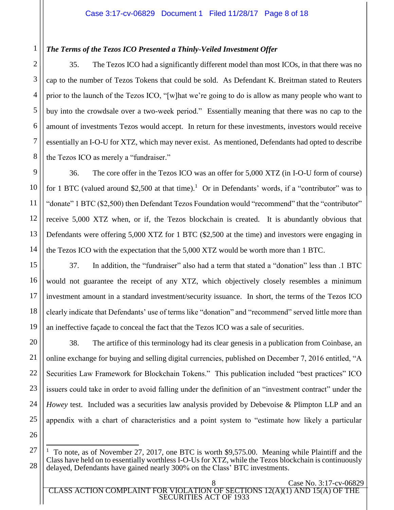# *The Terms of the Tezos ICO Presented a Thinly-Veiled Investment Offer*

35. The Tezos ICO had a significantly different model than most ICOs, in that there was no cap to the number of Tezos Tokens that could be sold. As Defendant K. Breitman stated to Reuters prior to the launch of the Tezos ICO, "[w]hat we're going to do is allow as many people who want to buy into the crowdsale over a two-week period." Essentially meaning that there was no cap to the amount of investments Tezos would accept. In return for these investments, investors would receive essentially an I-O-U for XTZ, which may never exist. As mentioned, Defendants had opted to describe the Tezos ICO as merely a "fundraiser."

36. The core offer in the Tezos ICO was an offer for 5,000 XTZ (in I-O-U form of course) for 1 BTC (valued around \$2,500 at that time).<sup>1</sup> Or in Defendants' words, if a "contributor" was to "donate" 1 BTC (\$2,500) then Defendant Tezos Foundation would "recommend" that the "contributor" receive 5,000 XTZ when, or if, the Tezos blockchain is created. It is abundantly obvious that Defendants were offering 5,000 XTZ for 1 BTC (\$2,500 at the time) and investors were engaging in the Tezos ICO with the expectation that the 5,000 XTZ would be worth more than 1 BTC.

37. In addition, the "fundraiser" also had a term that stated a "donation" less than .1 BTC would not guarantee the receipt of any XTZ, which objectively closely resembles a minimum investment amount in a standard investment/security issuance. In short, the terms of the Tezos ICO clearly indicate that Defendants' use of terms like "donation" and "recommend" served little more than an ineffective façade to conceal the fact that the Tezos ICO was a sale of securities.

38. The artifice of this terminology had its clear genesis in a publication from Coinbase, an online exchange for buying and selling digital currencies, published on December 7, 2016 entitled, "A Securities Law Framework for Blockchain Tokens." This publication included "best practices" ICO issuers could take in order to avoid falling under the definition of an "investment contract" under the *Howey* test. Included was a securities law analysis provided by Debevoise & Plimpton LLP and an appendix with a chart of characteristics and a point system to "estimate how likely a particular

1

 $\overline{a}$ <sup>1</sup> To note, as of November 27, 2017, one BTC is worth \$9,575.00. Meaning while Plaintiff and the Class have held on to essentially worthless I-O-Us for XTZ, while the Tezos blockchain is continuously delayed, Defendants have gained nearly 300% on the Class' BTC investments.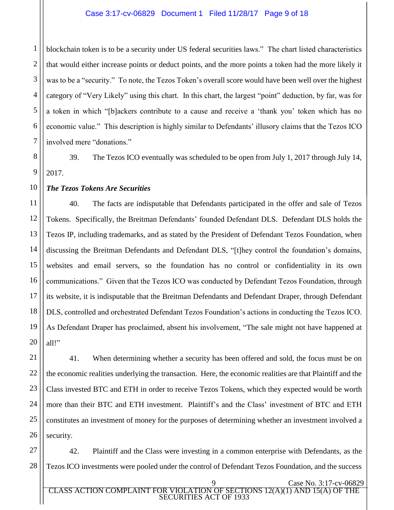#### Case 3:17-cv-06829 Document 1 Filed 11/28/17 Page 9 of 18

1 2 3 4 5 6 7 blockchain token is to be a security under US federal securities laws." The chart listed characteristics that would either increase points or deduct points, and the more points a token had the more likely it was to be a "security." To note, the Tezos Token's overall score would have been well over the highest category of "Very Likely" using this chart. In this chart, the largest "point" deduction, by far, was for a token in which "[b]ackers contribute to a cause and receive a 'thank you' token which has no economic value." This description is highly similar to Defendants' illusory claims that the Tezos ICO involved mere "donations."

8 9 39. The Tezos ICO eventually was scheduled to be open from July 1, 2017 through July 14, 2017.

10 *The Tezos Tokens Are Securities*

11 12 13 14 15 16 17 18 19 20 40. The facts are indisputable that Defendants participated in the offer and sale of Tezos Tokens. Specifically, the Breitman Defendants' founded Defendant DLS. Defendant DLS holds the Tezos IP, including trademarks, and as stated by the President of Defendant Tezos Foundation, when discussing the Breitman Defendants and Defendant DLS, "[t]hey control the foundation's domains, websites and email servers, so the foundation has no control or confidentiality in its own communications." Given that the Tezos ICO was conducted by Defendant Tezos Foundation, through its website, it is indisputable that the Breitman Defendants and Defendant Draper, through Defendant DLS, controlled and orchestrated Defendant Tezos Foundation's actions in conducting the Tezos ICO. As Defendant Draper has proclaimed, absent his involvement, "The sale might not have happened at all!"

21 22 23 24 25 26 41. When determining whether a security has been offered and sold, the focus must be on the economic realities underlying the transaction. Here, the economic realities are that Plaintiff and the Class invested BTC and ETH in order to receive Tezos Tokens, which they expected would be worth more than their BTC and ETH investment. Plaintiff's and the Class' investment of BTC and ETH constitutes an investment of money for the purposes of determining whether an investment involved a security.

27 28 42. Plaintiff and the Class were investing in a common enterprise with Defendants, as the Tezos ICO investments were pooled under the control of Defendant Tezos Foundation, and the success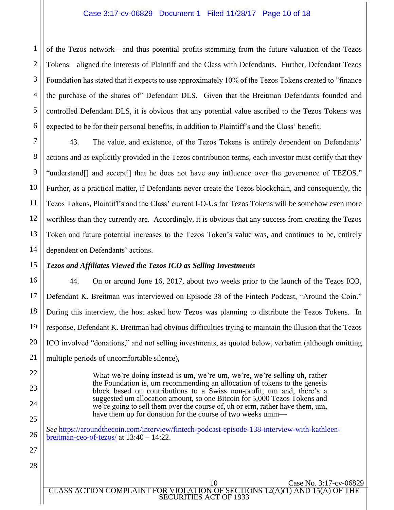#### Case 3:17-cv-06829 Document 1 Filed 11/28/17 Page 10 of 18

1 2 3 4 5 6 of the Tezos network—and thus potential profits stemming from the future valuation of the Tezos Tokens—aligned the interests of Plaintiff and the Class with Defendants. Further, Defendant Tezos Foundation has stated that it expects to use approximately 10% of the Tezos Tokens created to "finance the purchase of the shares of" Defendant DLS. Given that the Breitman Defendants founded and controlled Defendant DLS, it is obvious that any potential value ascribed to the Tezos Tokens was expected to be for their personal benefits, in addition to Plaintiff's and the Class' benefit.

43. The value, and existence, of the Tezos Tokens is entirely dependent on Defendants' actions and as explicitly provided in the Tezos contribution terms, each investor must certify that they "understand<sup>[]</sup> and accept<sup>[]</sup> that he does not have any influence over the governance of TEZOS." Further, as a practical matter, if Defendants never create the Tezos blockchain, and consequently, the Tezos Tokens, Plaintiff's and the Class' current I-O-Us for Tezos Tokens will be somehow even more worthless than they currently are. Accordingly, it is obvious that any success from creating the Tezos Token and future potential increases to the Tezos Token's value was, and continues to be, entirely dependent on Defendants' actions.

#### *Tezos and Affiliates Viewed the Tezos ICO as Selling Investments*

7

8

9

10

11

12

13

14

15

17

19

21

22

23

24

25

26

27

28

16 18 20 44. On or around June 16, 2017, about two weeks prior to the launch of the Tezos ICO, Defendant K. Breitman was interviewed on Episode 38 of the Fintech Podcast, "Around the Coin." During this interview, the host asked how Tezos was planning to distribute the Tezos Tokens. In response, Defendant K. Breitman had obvious difficulties trying to maintain the illusion that the Tezos ICO involved "donations," and not selling investments, as quoted below, verbatim (although omitting multiple periods of uncomfortable silence),

> What we're doing instead is um, we're um, we're, we're selling uh, rather the Foundation is, um recommending an allocation of tokens to the genesis block based on contributions to a Swiss non-profit, um and, there's a suggested um allocation amount, so one Bitcoin for 5,000 Tezos Tokens and we're going to sell them over the course of, uh or erm, rather have them, um, have them up for donation for the course of two weeks umm—

*See* https://aroundthecoin.com/interview/fintech-podcast-episode-138-interview-with-kathleenbreitman-ceo-of-tezos/ at 13:40 – 14:22.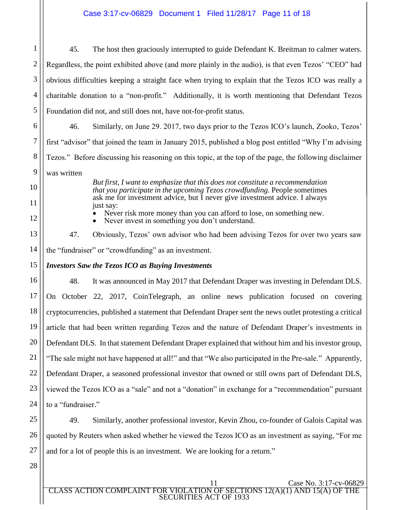1 2 3 4 5 45. The host then graciously interrupted to guide Defendant K. Breitman to calmer waters. Regardless, the point exhibited above (and more plainly in the audio), is that even Tezos' "CEO" had obvious difficulties keeping a straight face when trying to explain that the Tezos ICO was really a charitable donation to a "non-profit." Additionally, it is worth mentioning that Defendant Tezos Foundation did not, and still does not, have not-for-profit status.

6 7 8 9 46. Similarly, on June 29. 2017, two days prior to the Tezos ICO's launch, Zooko, Tezos' first "advisor" that joined the team in January 2015, published a blog post entitled "Why I'm advising Tezos." Before discussing his reasoning on this topic, at the top of the page, the following disclaimer was written

10

11

12

13

14

*But first, I want to emphasize that this does not constitute a recommendation that you participate in the upcoming Tezos crowdfunding.* People sometimes ask me for investment advice, but I never give investment advice. I always just say:

Never risk more money than you can afford to lose, on something new.

Never invest in something you don't understand.

47. Obviously, Tezos' own advisor who had been advising Tezos for over two years saw the "fundraiser" or "crowdfunding" as an investment.

#### 15 *Investors Saw the Tezos ICO as Buying Investments*

16 17 18 19 20 21 22 23 24 48. It was announced in May 2017 that Defendant Draper was investing in Defendant DLS. On October 22, 2017, CoinTelegraph, an online news publication focused on covering cryptocurrencies, published a statement that Defendant Draper sent the news outlet protesting a critical article that had been written regarding Tezos and the nature of Defendant Draper's investments in Defendant DLS. In that statement Defendant Draper explained that without him and his investor group, "The sale might not have happened at all!" and that "We also participated in the Pre-sale." Apparently, Defendant Draper, a seasoned professional investor that owned or still owns part of Defendant DLS, viewed the Tezos ICO as a "sale" and not a "donation" in exchange for a "recommendation" pursuant to a "fundraiser."

25 26 27 49. Similarly, another professional investor, Kevin Zhou, co-founder of Galois Capital was quoted by Reuters when asked whether he viewed the Tezos ICO as an investment as saying, "For me and for a lot of people this is an investment. We are looking for a return."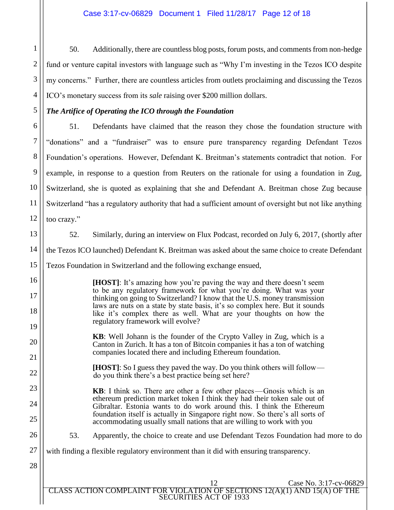2 3 4 50. Additionally, there are countless blog posts, forum posts, and comments from non-hedge fund or venture capital investors with language such as "Why I'm investing in the Tezos ICO despite my concerns." Further, there are countless articles from outlets proclaiming and discussing the Tezos ICO's monetary success from its *sale* raising over \$200 million dollars.

# *The Artifice of Operating the ICO through the Foundation*

51. Defendants have claimed that the reason they chose the foundation structure with "donations" and a "fundraiser" was to ensure pure transparency regarding Defendant Tezos Foundation's operations. However, Defendant K. Breitman's statements contradict that notion. For example, in response to a question from Reuters on the rationale for using a foundation in Zug, Switzerland, she is quoted as explaining that she and Defendant A. Breitman chose Zug because Switzerland "has a regulatory authority that had a sufficient amount of oversight but not like anything too crazy."

13 14 15 52. Similarly, during an interview on Flux Podcast, recorded on July 6, 2017, (shortly after the Tezos ICO launched) Defendant K. Breitman was asked about the same choice to create Defendant

Tezos Foundation in Switzerland and the following exchange ensued,

**[HOST]**: It's amazing how you're paving the way and there doesn't seem to be any regulatory framework for what you're doing. What was your thinking on going to Switzerland? I know that the U.S. money transmission laws are nuts on a state by state basis, it's so complex here. But it sounds like it's complex there as well. What are your thoughts on how the regulatory framework will evolve?

**KB**: Well Johann is the founder of the Crypto Valley in Zug, which is a Canton in Zurich. It has a ton of Bitcoin companies it has a ton of watching companies located there and including Ethereum foundation.

**[HOST]**: So I guess they paved the way. Do you think others will follow  do you think there's a best practice being set here?

- **KB**: I think so. There are other a few other places—Gnosis which is an ethereum prediction market token I think they had their token sale out of Gibraltar. Estonia wants to do work around this. I think the Ethereum foundation itself is actually in Singapore right now. So there's all sorts of accommodating usually small nations that are willing to work with you
- 53. Apparently, the choice to create and use Defendant Tezos Foundation had more to do

27 with finding a flexible regulatory environment than it did with ensuring transparency.

28

1

5

6

7

8

9

10

11

12

16

17

18

19

20

21

22

23

24

25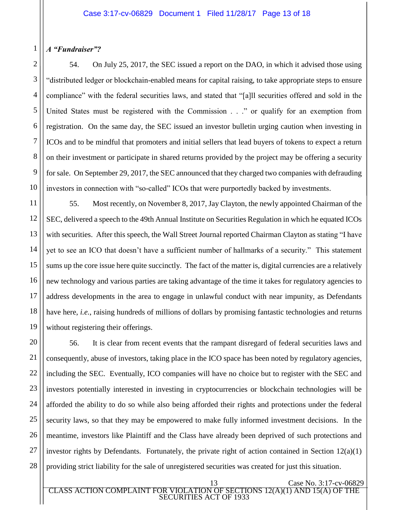#### 1 *A "Fundraiser"?*

54. On July 25, 2017, the SEC issued a report on the DAO, in which it advised those using "distributed ledger or blockchain-enabled means for capital raising, to take appropriate steps to ensure compliance" with the federal securities laws, and stated that "[a]ll securities offered and sold in the United States must be registered with the Commission . . ." or qualify for an exemption from registration. On the same day, the SEC issued an investor bulletin urging caution when investing in ICOs and to be mindful that promoters and initial sellers that lead buyers of tokens to expect a return on their investment or participate in shared returns provided by the project may be offering a security for sale. On September 29, 2017, the SEC announced that they charged two companies with defrauding investors in connection with "so-called" ICOs that were purportedly backed by investments.

55. Most recently, on November 8, 2017, Jay Clayton, the newly appointed Chairman of the SEC, delivered a speech to the 49th Annual Institute on Securities Regulation in which he equated ICOs with securities. After this speech, the Wall Street Journal reported Chairman Clayton as stating "I have yet to see an ICO that doesn't have a sufficient number of hallmarks of a security." This statement sums up the core issue here quite succinctly. The fact of the matter is, digital currencies are a relatively new technology and various parties are taking advantage of the time it takes for regulatory agencies to address developments in the area to engage in unlawful conduct with near impunity, as Defendants have here, *i.e.*, raising hundreds of millions of dollars by promising fantastic technologies and returns without registering their offerings.

56. It is clear from recent events that the rampant disregard of federal securities laws and consequently, abuse of investors, taking place in the ICO space has been noted by regulatory agencies, including the SEC. Eventually, ICO companies will have no choice but to register with the SEC and investors potentially interested in investing in cryptocurrencies or blockchain technologies will be afforded the ability to do so while also being afforded their rights and protections under the federal security laws, so that they may be empowered to make fully informed investment decisions. In the meantime, investors like Plaintiff and the Class have already been deprived of such protections and investor rights by Defendants. Fortunately, the private right of action contained in Section 12(a)(1) providing strict liability for the sale of unregistered securities was created for just this situation.

13 Case No. 3:17-cv-06829 CLASS ACTION COMPLAINT FOR VIOLATION OF SECTIONS 12(A)(1) AND 15(A) OF THE SECURITIES ACT OF 1933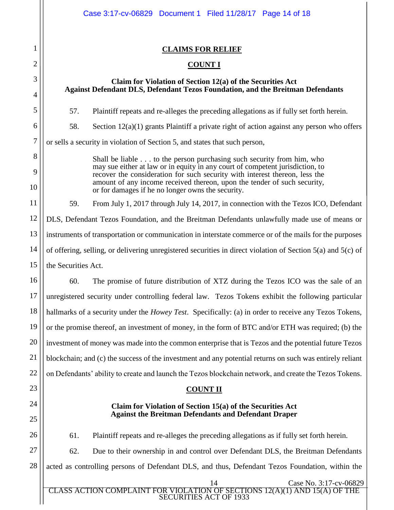|                | Case 3:17-cv-06829 Document 1 Filed 11/28/17 Page 14 of 18                                                                                                                                                                           |  |  |  |  |  |  |
|----------------|--------------------------------------------------------------------------------------------------------------------------------------------------------------------------------------------------------------------------------------|--|--|--|--|--|--|
| 1              | <b>CLAIMS FOR RELIEF</b>                                                                                                                                                                                                             |  |  |  |  |  |  |
| $\overline{2}$ | <b>COUNT I</b>                                                                                                                                                                                                                       |  |  |  |  |  |  |
| 3              | Claim for Violation of Section 12(a) of the Securities Act<br><b>Against Defendant DLS, Defendant Tezos Foundation, and the Breitman Defendants</b>                                                                                  |  |  |  |  |  |  |
| 4              |                                                                                                                                                                                                                                      |  |  |  |  |  |  |
| 5              | 57.<br>Plaintiff repeats and re-alleges the preceding allegations as if fully set forth herein.                                                                                                                                      |  |  |  |  |  |  |
| 6              | 58.<br>Section $12(a)(1)$ grants Plaintiff a private right of action against any person who offers                                                                                                                                   |  |  |  |  |  |  |
| 7              | or sells a security in violation of Section 5, and states that such person,                                                                                                                                                          |  |  |  |  |  |  |
| 8<br>9         | Shall be liable to the person purchasing such security from him, who<br>may sue either at law or in equity in any court of competent jurisdiction, to<br>recover the consideration for such security with interest thereon, less the |  |  |  |  |  |  |
| 10             | amount of any income received thereon, upon the tender of such security,<br>or for damages if he no longer owns the security.                                                                                                        |  |  |  |  |  |  |
| 11             | 59.<br>From July 1, 2017 through July 14, 2017, in connection with the Tezos ICO, Defendant                                                                                                                                          |  |  |  |  |  |  |
| 12             | DLS, Defendant Tezos Foundation, and the Breitman Defendants unlawfully made use of means or                                                                                                                                         |  |  |  |  |  |  |
| 13             | instruments of transportation or communication in interstate commerce or of the mails for the purposes                                                                                                                               |  |  |  |  |  |  |
| 14             | of offering, selling, or delivering unregistered securities in direct violation of Section 5(a) and 5(c) of                                                                                                                          |  |  |  |  |  |  |
| 15             | the Securities Act.                                                                                                                                                                                                                  |  |  |  |  |  |  |
| 16             | 60.<br>The promise of future distribution of XTZ during the Tezos ICO was the sale of an                                                                                                                                             |  |  |  |  |  |  |
| 17             | unregistered security under controlling federal law. Tezos Tokens exhibit the following particular                                                                                                                                   |  |  |  |  |  |  |
| 18             | hallmarks of a security under the <i>Howey Test</i> . Specifically: (a) in order to receive any Tezos Tokens,                                                                                                                        |  |  |  |  |  |  |
| 19             | or the promise thereof, an investment of money, in the form of BTC and/or ETH was required; (b) the                                                                                                                                  |  |  |  |  |  |  |
| 20             | investment of money was made into the common enterprise that is Tezos and the potential future Tezos                                                                                                                                 |  |  |  |  |  |  |
| 21             | blockchain; and (c) the success of the investment and any potential returns on such was entirely reliant                                                                                                                             |  |  |  |  |  |  |
| 22             | on Defendants' ability to create and launch the Tezos blockchain network, and create the Tezos Tokens.                                                                                                                               |  |  |  |  |  |  |
| 23             | <b>COUNT II</b>                                                                                                                                                                                                                      |  |  |  |  |  |  |
| 24             | Claim for Violation of Section 15(a) of the Securities Act                                                                                                                                                                           |  |  |  |  |  |  |
| 25             | <b>Against the Breitman Defendants and Defendant Draper</b>                                                                                                                                                                          |  |  |  |  |  |  |
| 26             | 61.<br>Plaintiff repeats and re-alleges the preceding allegations as if fully set forth herein.                                                                                                                                      |  |  |  |  |  |  |
| 27             | 62.<br>Due to their ownership in and control over Defendant DLS, the Breitman Defendants                                                                                                                                             |  |  |  |  |  |  |
| 28             | acted as controlling persons of Defendant DLS, and thus, Defendant Tezos Foundation, within the                                                                                                                                      |  |  |  |  |  |  |
|                | 14<br>Case No. 3:17-cv-06829<br>AINT FOR VIOLATION OF SECTIONS 12(A)(1) AND 15(A) OF THE<br><b>CLASS ACTION</b><br><b>COMPI</b><br><b>SECURITIES ACT OF 1933</b>                                                                     |  |  |  |  |  |  |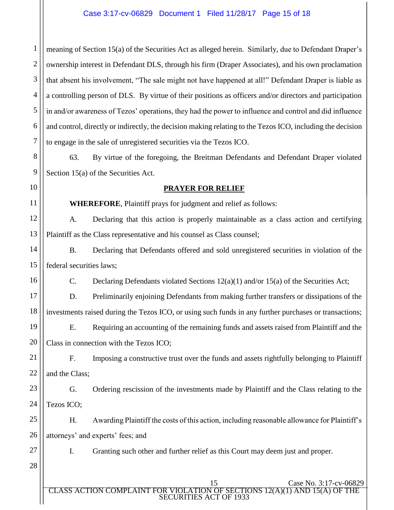1 2 3 4 5 6 7 meaning of Section 15(a) of the Securities Act as alleged herein. Similarly, due to Defendant Draper's ownership interest in Defendant DLS, through his firm (Draper Associates), and his own proclamation that absent his involvement, "The sale might not have happened at all!" Defendant Draper is liable as a controlling person of DLS. By virtue of their positions as officers and/or directors and participation in and/or awareness of Tezos' operations, they had the power to influence and control and did influence and control, directly or indirectly, the decision making relating to the Tezos ICO, including the decision to engage in the sale of unregistered securities via the Tezos ICO.

8 9 63. By virtue of the foregoing, the Breitman Defendants and Defendant Draper violated Section 15(a) of the Securities Act.

#### 10

11

16

#### **PRAYER FOR RELIEF**

**WHEREFORE**, Plaintiff prays for judgment and relief as follows:

12 13 A. Declaring that this action is properly maintainable as a class action and certifying Plaintiff as the Class representative and his counsel as Class counsel;

14 15 B. Declaring that Defendants offered and sold unregistered securities in violation of the federal securities laws;

C. Declaring Defendants violated Sections 12(a)(1) and/or 15(a) of the Securities Act;

17 18 D. Preliminarily enjoining Defendants from making further transfers or dissipations of the investments raised during the Tezos ICO, or using such funds in any further purchases or transactions;

19 20 E. Requiring an accounting of the remaining funds and assets raised from Plaintiff and the Class in connection with the Tezos ICO;

21 22 F. Imposing a constructive trust over the funds and assets rightfully belonging to Plaintiff and the Class;

23 24 G. Ordering rescission of the investments made by Plaintiff and the Class relating to the Tezos ICO;

25 26 H. Awarding Plaintiff the costs of this action, including reasonable allowance for Plaintiff's attorneys' and experts' fees; and

I. Granting such other and further relief as this Court may deem just and proper.

27 28

> 15 Case No. 3:17-cv-06829 CLASS ACTION COMPLAINT FOR VIOLATION OF SECTIONS 12(A)(1) AND 15(A) OF THE SECURITIES ACT OF 1933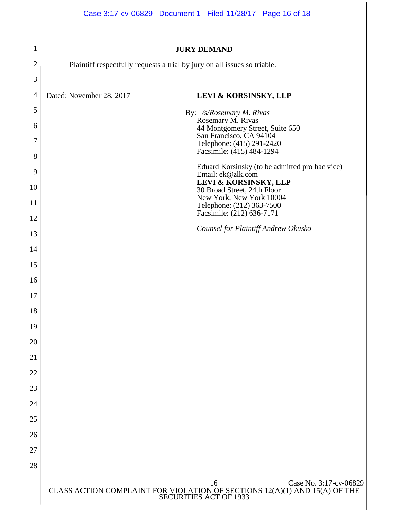|                | Case 3:17-cv-06829 Document 1 Filed 11/28/17 Page 16 of 18                                                                           |  |  |  |  |  |
|----------------|--------------------------------------------------------------------------------------------------------------------------------------|--|--|--|--|--|
| 1              | <b>JURY DEMAND</b>                                                                                                                   |  |  |  |  |  |
| $\overline{2}$ | Plaintiff respectfully requests a trial by jury on all issues so triable.                                                            |  |  |  |  |  |
| 3              |                                                                                                                                      |  |  |  |  |  |
| $\overline{4}$ | Dated: November 28, 2017<br>LEVI & KORSINSKY, LLP                                                                                    |  |  |  |  |  |
| 5              | By: /s/Rosemary M. Rivas                                                                                                             |  |  |  |  |  |
| 6              | Rosemary M. Rivas<br>44 Montgomery Street, Suite 650                                                                                 |  |  |  |  |  |
| 7              | San Francisco, CA 94104<br>Telephone: (415) 291-2420<br>Facsimile: (415) 484-1294                                                    |  |  |  |  |  |
| 8              | Eduard Korsinsky (to be admitted pro hac vice)                                                                                       |  |  |  |  |  |
| 9              | Email: ek@zlk.com<br>LEVI & KORSINSKY, LLP                                                                                           |  |  |  |  |  |
| 10             | 30 Broad Street, 24th Floor<br>New York, New York 10004                                                                              |  |  |  |  |  |
| 11             | Telephone: (212) 363-7500<br>Facsimile: (212) 636-7171                                                                               |  |  |  |  |  |
| 12<br>13       | Counsel for Plaintiff Andrew Okusko                                                                                                  |  |  |  |  |  |
| 14             |                                                                                                                                      |  |  |  |  |  |
| 15             |                                                                                                                                      |  |  |  |  |  |
| 16             |                                                                                                                                      |  |  |  |  |  |
| 17             |                                                                                                                                      |  |  |  |  |  |
| 18             |                                                                                                                                      |  |  |  |  |  |
| 19             |                                                                                                                                      |  |  |  |  |  |
| 20             |                                                                                                                                      |  |  |  |  |  |
| 21             |                                                                                                                                      |  |  |  |  |  |
| 22             |                                                                                                                                      |  |  |  |  |  |
| 23             |                                                                                                                                      |  |  |  |  |  |
| 24             |                                                                                                                                      |  |  |  |  |  |
| 25             |                                                                                                                                      |  |  |  |  |  |
| 26             |                                                                                                                                      |  |  |  |  |  |
| 27<br>28       |                                                                                                                                      |  |  |  |  |  |
|                |                                                                                                                                      |  |  |  |  |  |
|                | <sup>10</sup><br>FOR VIOLATION OF SECTIONS 12(A)(1) AND 15(A) OF THE<br>SECURITIES ACT OF 1933<br><b>CLASS ACTION COMPL</b><br>.AIN' |  |  |  |  |  |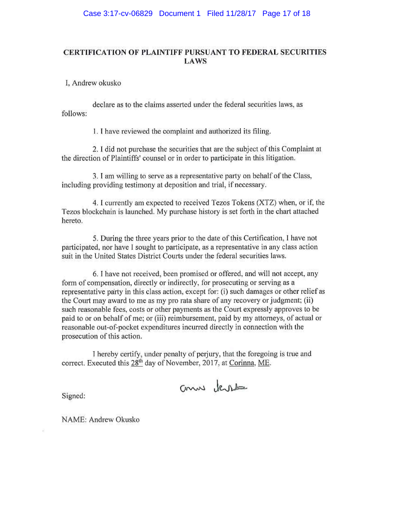#### **CERTIFICATION OF PLAINTIFF PURSUANT TO FEDERAL SECURITIES LAWS**

I, Andrew okusko

declare as to the claims asserted under the federal securities laws, as follows:

1. I have reviewed the complaint and authorized its filing.

2. I did not purchase the securities that are the subject of this Complaint at the direction of Plaintiffs' counsel or in order to participate in this litigation.

3. I am willing to serve as a representative party on behalf of the Class, including providing testimony at deposition and trial, if necessary.

4. I currently am expected to received Tezos Tokens (XTZ) when, or if, the Tezos blockchain is launched. My purchase history is set forth in the chart attached hereto.

5. During the three years prior to the date of this Certification, I have not participated, nor have I sought to participate, as a representative in any class action suit in the United States District Courts under the federal securities laws.

6. I have not received, been promised or offered, and will not accept, any form of compensation, directly or indirectly, for prosecuting or serving as a representative party in this class action, except for: (i) such damages or other relief as the Court may award to me as my pro rata share of any recovery or judgment; (ii) such reasonable fees, costs or other payments as the Court expressly approves to be paid to or on behalf of me; or (iii) reimbursement, paid by my attorneys, of actual or reasonable out-of-pocket expenditures incurred directly in connection with the prosecution of this action.

I hereby certify, under penalty of perjury, that the foregoing is true and correct. Executed this 28<sup>th</sup> day of November, 2017, at Corinna, ME.

comme derste

Signed:

NAME: Andrew Okusko